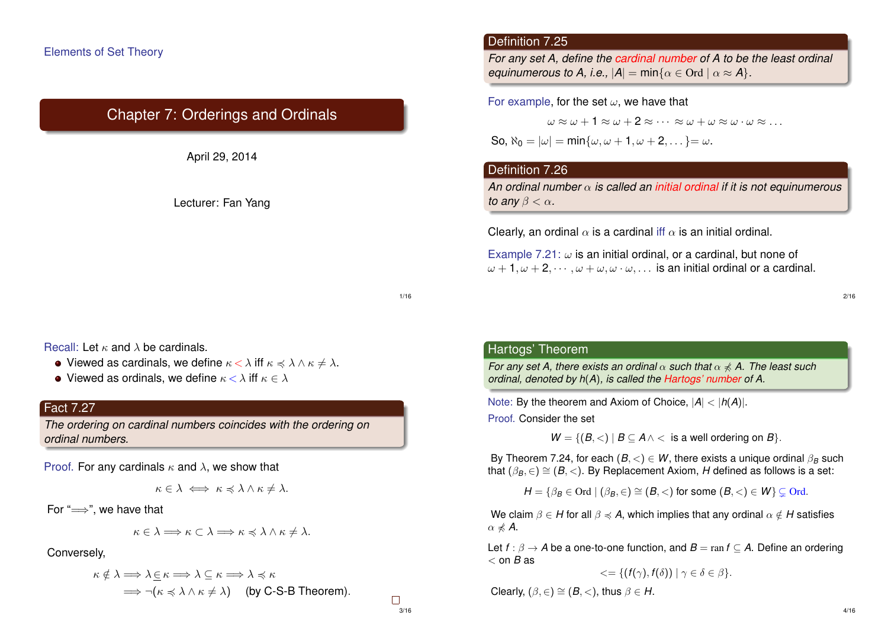# Chapter 7: Orderings and Ordinals



## Definition 7.25

*For any set A, define the cardinal number of A to be the least ordinal equinumerous to A, i.e.,*  $|A| = min\{\alpha \in \text{Ord} \mid \alpha \approx A\}.$ 

#### For example, for the set  $\omega$ , we have that

 $\omega \approx \omega + 1 \approx \omega + 2 \approx \cdots \approx \omega + \omega \approx \omega \cdot \omega \approx \ldots$ 

So,  $\aleph_0 = |\omega| = \min{\{\omega, \omega + 1, \omega + 2, \dots\}} = \omega$ .

## Definition 7.26

*An ordinal number* α *is called an initial ordinal if it is not equinumerous to any*  $\beta < \alpha$ *.* 

Clearly, an ordinal  $\alpha$  is a cardinal iff  $\alpha$  is an initial ordinal.

Example 7.21:  $\omega$  is an initial ordinal, or a cardinal, but none of  $\omega + 1, \omega + 2, \cdots, \omega + \omega, \omega \cdot \omega, \ldots$  is an initial ordinal or a cardinal.

1/16

3/16

 $\Box$ 

Recall: Let  $\kappa$  and  $\lambda$  be cardinals.

- Viewed as cardinals, we define  $\kappa < \lambda$  iff  $\kappa \leq \lambda \wedge \kappa \neq \lambda$ .
- Viewed as ordinals, we define  $\kappa < \lambda$  iff  $\kappa \in \lambda$

## Fact 7.27

*The ordering on cardinal numbers coincides with the ordering on ordinal numbers.*

Proof. For any cardinals  $\kappa$  and  $\lambda$ , we show that

$$
\kappa \in \lambda \iff \kappa \preccurlyeq \lambda \wedge \kappa \neq \lambda.
$$

For " $\Longrightarrow$ ", we have that

$$
\kappa \in \lambda \Longrightarrow \kappa \subset \lambda \Longrightarrow \kappa \preccurlyeq \lambda \wedge \kappa \neq \lambda.
$$

Conversely,

$$
\kappa \notin \lambda \Longrightarrow \lambda \subseteq \kappa \Longrightarrow \lambda \subseteq \kappa \Longrightarrow \lambda \preccurlyeq \kappa
$$
  

$$
\Longrightarrow \neg(\kappa \preccurlyeq \lambda \wedge \kappa \neq \lambda) \quad \text{(by C-S-B Theorem)}.
$$

Hartogs' Theorem

*For any set A, there exists an ordinal*  $\alpha$  *such that*  $\alpha \nless A$ . The least such *ordinal, denoted by h*(*A*)*, is called the Hartogs' number of A.*

Note: By the theorem and Axiom of Choice, |*A*| < |*h*(*A*)|.

Proof. Consider the set

 $W = \{(B, \langle) | B \subseteq A \land \langle$  is a well ordering on *B* $\}.$ 

By Theorem 7.24, for each  $(B, <) \in W$ , there exists a unique ordinal  $\beta_B$  such that  $(\beta_B, \in) \cong (B, <)$ . By Replacement Axiom, *H* defined as follows is a set:

 $H = \{ \beta_B \in \text{Ord} \mid (\beta_B, \in) \cong (B, <) \text{ for some } (B, <) \in W \} \subset \text{Ord}.$ 

We claim  $\beta \in H$  for all  $\beta \preccurlyeq A$ , which implies that any ordinal  $\alpha \notin H$  satisfies  $\alpha \nless A$ .

Let  $f: \beta \to A$  be a one-to-one function, and  $B = \text{ran } f \subset A$ . Define an ordering < on *B* as

$$
\langle \xi = \{ (f(\gamma), f(\delta)) \mid \gamma \in \delta \in \beta \}.
$$

Clearly,  $(\beta, \in) \cong (B, <)$ , thus  $\beta \in H$ .

2/16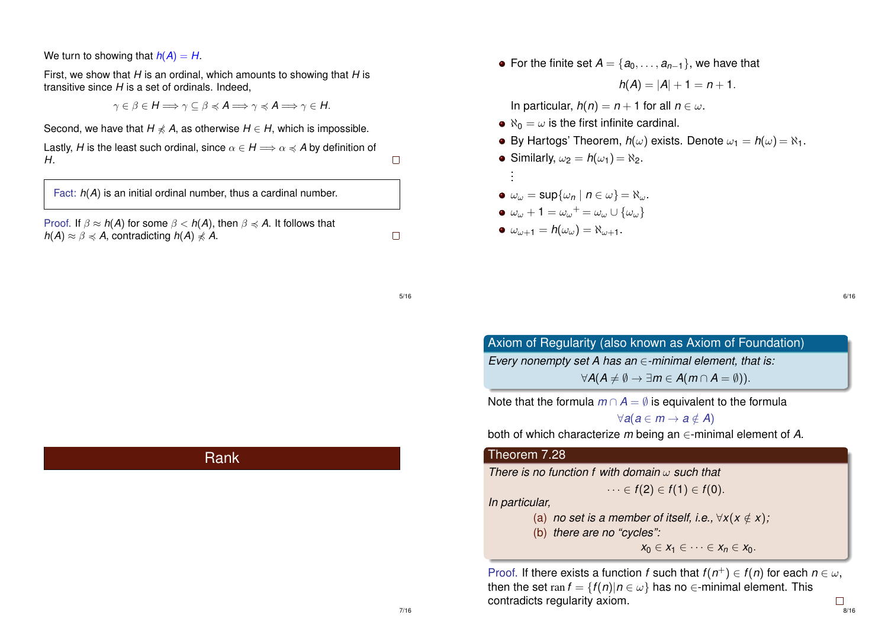We turn to showing that  $h(A) = H$ .

First, we show that *H* is an ordinal, which amounts to showing that *H* is transitive since *H* is a set of ordinals. Indeed,

 $\gamma \in \beta \in H \Longrightarrow \gamma \subset \beta \preccurlyeq A \Longrightarrow \gamma \preccurlyeq A \Longrightarrow \gamma \in H$ .

Second, we have that  $H \nleq A$ , as otherwise  $H \in H$ , which is impossible.

Lastly, *H* is the least such ordinal, since  $\alpha \in H \Longrightarrow \alpha \preccurlyeq A$  by definition of *H*.

Fact: *h*(*A*) is an initial ordinal number, thus a cardinal number.

Proof. If  $\beta \approx h(A)$  for some  $\beta < h(A)$ , then  $\beta \preccurlyeq A$ . It follows that  $h(A) \approx \beta \leq A$ , contradicting  $h(A) \nleq A$ .

 $\bullet$  For the finite set  $A = \{a_0, \ldots, a_{n-1}\}\)$ , we have that

$$
h(A) = |A| + 1 = n + 1.
$$

In particular,  $h(n) = n + 1$  for all  $n \in \omega$ .

- $\bullet$   $\aleph_0 = \omega$  is the first infinite cardinal.
- By Hartogs' Theorem,  $h(\omega)$  exists. Denote  $\omega_1 = h(\omega) = \aleph_1$ .
- Similarly,  $\omega_2 = h(\omega_1) = \aleph_2$ . .

• 
$$
\omega_{\omega} = \sup \{ \omega_n \mid n \in \omega \} = \aleph_{\omega}.
$$

$$
\bullet \ \omega_{\omega} + 1 = \omega_{\omega} + \omega_{\omega} \cup \{\omega_{\omega}\}\
$$

$$
\bullet \ \omega_{\omega+1}=h(\omega_{\omega})=\aleph_{\omega+1}.
$$

. .

6/16

Axiom of Regularity (also known as Axiom of Foundation) *Every nonempty set A has an* ∈*-minimal element, that is:*  $\forall A(A \neq \emptyset \rightarrow \exists m \in A(m \cap A = \emptyset)).$ 

Note that the formula  $m \cap A = \emptyset$  is equivalent to the formula

 $\forall a(a \in m \rightarrow a \notin A)$ 

both of which characterize *m* being an ∈-minimal element of *A*.

#### Theorem 7.28

*There is no function f with domain* ω *such that*

$$
\cdots \in f(2) \in f(1) \in f(0).
$$

*In particular,*

(a) *no set is a member of itself, i.e.,*  $\forall x (x \notin x)$ ;

(b) *there are no "cycles":*

 $x_0 \in X_1 \in \cdots \in X_n \in X_0$ .

Proof. If there exists a function *f* such that  $f(n^+) \in f(n)$  for each  $n \in \omega$ , then the set ran  $f = \{f(n) | n \in \omega\}$  has no  $\in$ -minimal element. This contradicts regularity axiom.  $\Box$ 8/16

## Rank

5/16

 $\Box$ 

 $\Box$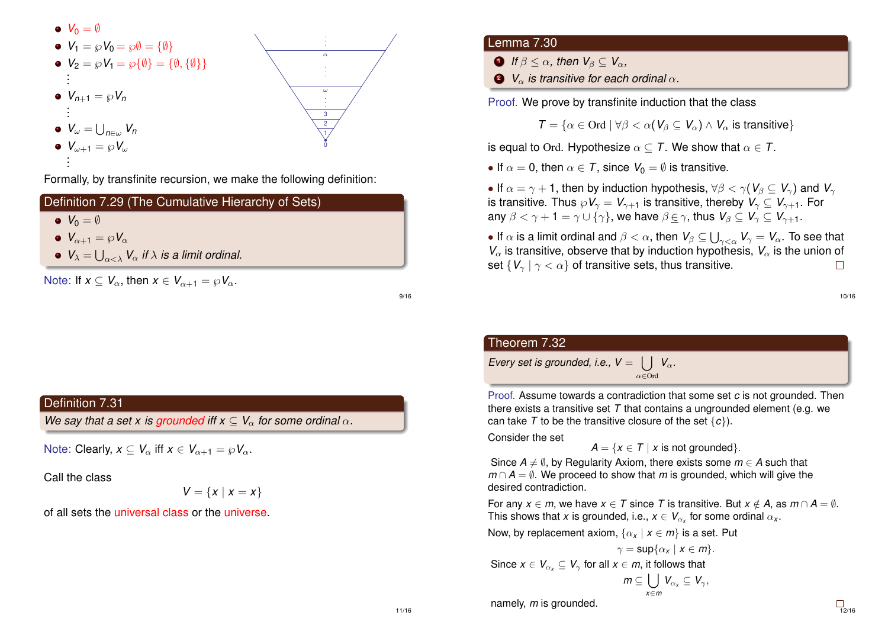

Formally, by transfinite recursion, we make the following definition:

| Definition 7.29 (The Cumulative Hierarchy of Sets)                                       |
|------------------------------------------------------------------------------------------|
| $V_0 = \emptyset$                                                                        |
| $V_{\alpha+1} = \wp V_{\alpha}$                                                          |
| • $V_{\lambda} = \bigcup_{\alpha < \lambda} V_{\alpha}$ if $\lambda$ is a limit ordinal. |
| Note: If $x \n\subset V_\alpha$ , then $x \in V_{\alpha+1} = \varnothing V_\alpha$ .     |

9/16

### Definition 7.31

*We say that a set x is grounded iff*  $x \n\subset V_\alpha$  *for some ordinal*  $\alpha$ *.* 

Note: Clearly,  $x \n\subset V_\alpha$  iff  $x \in V_{\alpha+1} = \varnothing V_\alpha$ .

Call the class

$$
V = \{x \mid x = x\}
$$

of all sets the universal class or the universe.

#### Lemma 7.30

**1** If  $\beta < \alpha$ , then  $V_{\beta} \subset V_{\alpha}$ ,

**2** *V<sub>α</sub> is transitive for each ordinal*  $\alpha$ *.* 

Proof. We prove by transfinite induction that the class

 $\mathcal{T} = \{\alpha \in \text{Ord} \mid \forall \beta < \alpha (V_{\beta} \subseteq V_{\alpha}) \land V_{\alpha} \text{ is transitive}\}\$ 

is equal to Ord. Hypothesize  $\alpha \subset T$ . We show that  $\alpha \in T$ .

• If  $\alpha = 0$ , then  $\alpha \in \mathcal{T}$ , since  $V_0 = \emptyset$  is transitive.

• If  $\alpha = \gamma + 1$ , then by induction hypothesis,  $\forall \beta < \gamma$  (*V<sub>B</sub>*  $\subset V_{\gamma}$ ) and *V*<sub>γ</sub> is transitive. Thus  $\wp V_{\gamma} = V_{\gamma+1}$  is transitive, thereby  $V_{\gamma} \subseteq V_{\gamma+1}$ . For any  $\beta < \gamma + 1 = \gamma \cup {\gamma}$ , we have  $\beta \in \gamma$ , thus  $V_{\beta} \subseteq V_{\gamma} \subseteq V_{\gamma+1}$ .

 $\bullet$  If  $\alpha$  is a limit ordinal and  $\beta<\alpha,$  then  $\mathsf{V}_\beta\subseteq\bigcup_{\gamma<\alpha}\mathsf{V}_\gamma=\mathsf{V}_\alpha.$  To see that *V*<sub>α</sub> is transitive, observe that by induction hypothesis,  $V_\alpha$  is the union of set  $\{V_{\gamma} | \gamma < \alpha\}$  of transitive sets, thus transitive.  $\Box$ 

10/16

# Theorem 7.32 *Every set is grounded, i.e.,*  $V = \int V_{\alpha}$ .

Proof. Assume towards a contradiction that some set *c* is not grounded. Then there exists a transitive set *T* that contains a ungrounded element (e.g. we can take *T* to be the transitive closure of the set {*c*}).

Consider the set

$$
A = \{x \in T \mid x \text{ is not grounded}\}.
$$

Since  $A \neq \emptyset$ , by Regularity Axiom, there exists some  $m \in A$  such that  $m \cap A = \emptyset$ . We proceed to show that *m* is grounded, which will give the desired contradiction.

α∈Ord

For any  $x \in m$ , we have  $x \in T$  since T is transitive. But  $x \notin A$ , as  $m \cap A = \emptyset$ . This shows that *x* is grounded, i.e.,  $x \in V_{\alpha_{x}}$  for some ordinal  $\alpha_{x}$ .

Now, by replacement axiom,  $\{\alpha_x \mid x \in m\}$  is a set. Put

$$
\gamma = \sup \{ \alpha_x \mid x \in m \}.
$$
  
Since  $x \in V_{\alpha_x} \subseteq V_{\gamma}$  for all  $x \in m$ , it follows that  

$$
m \subseteq \bigcup_{x \in m} V_{\alpha_x} \subseteq V_{\gamma},
$$

namely, *m* is grounded.